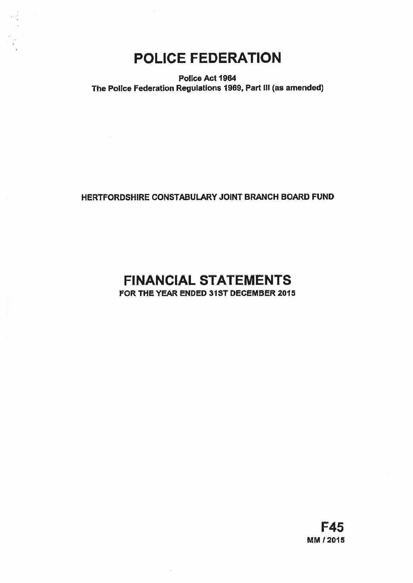# POLICE FEDERATION

Police Act 1964 The Police Federation Regulations 1969, Part III (as amended)

## HERTFORDSHIRE CONSTABULARY JOINT BRANCH BOARD FUND

## FINANCIAL STATEMENTS FOR THE YEAR ENDED 31ST DECEMBER 2015

F45 MM 12015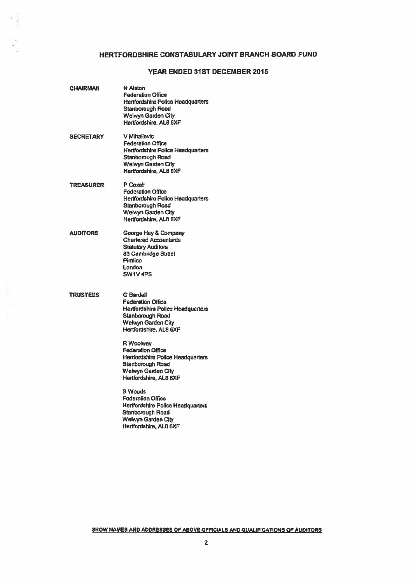### HERTFORDSHIRE CONSTABULARY JOINT BRANCH BOARD FUND

### YEAR ENDED 31ST DECEMBER 2015

| <b>CHAIRMAN</b>  | N Alston<br><b>Federation Office</b><br>Hertfordshire Police Headquarters<br>Stanborough Road<br><b>Welwyn Garden City</b><br>Hertfordshire, ALB 6XF                                                                                                                                                                                                                                                                                                                         |
|------------------|------------------------------------------------------------------------------------------------------------------------------------------------------------------------------------------------------------------------------------------------------------------------------------------------------------------------------------------------------------------------------------------------------------------------------------------------------------------------------|
| <b>SECRETARY</b> | V Mihallovic<br><b>Federation Office</b><br><b>Hertfordshire Police Headquarters</b><br>Stanborough Road<br>Welwyn Garden City<br>Hertfordshire, AL8 6XF                                                                                                                                                                                                                                                                                                                     |
| TREASURER        | P Coxali<br><b>Federation Office</b><br>Hertfordshire Police Headquarters<br><b>Stanborough Road</b><br>Welwyn Garden City<br>Hertfordshire, AL8 6XF                                                                                                                                                                                                                                                                                                                         |
| AUDITORS         | George Hay & Company<br><b>Charlered Accountants</b><br><b>Statutory Auditors</b><br>83 Cambridge Street<br>Pimlico<br>London<br>SW1V4PS                                                                                                                                                                                                                                                                                                                                     |
| <b>TRUSTEES</b>  | <b>G</b> Bardell<br><b>Federation Office</b><br>Hertfordshire Police Headquarters<br>Stanborough Road<br>Welwyn Garden City<br>Hertfordshire, AL8 6XF<br>R Woolway<br><b>Federation Office</b><br>Hertfordshire Police Headquarters<br>Stanborough Road<br><b>Welwyn Garden City</b><br>Hertfordshire, AL8 6XF<br><b>S Woods</b><br><b>Fodoration Office</b><br><b>Hertfordshire Police Headquarters</b><br>Stanborough Road<br>Welwyn Garden City<br>Hertfordshire, AL8 6XF |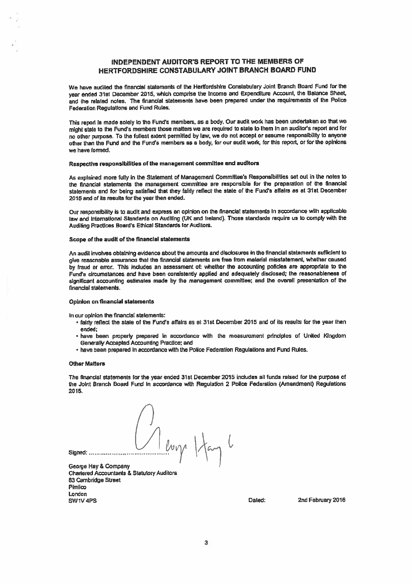### INDEPENDENT AUDITOR'S REPORT TO THE MEMBERS OF HERTFORDSHIRE CONSTABULARY JOINT BRANCH BOARD FUND

We have audited the financial statemants of the Hertfordshira Constabulary Joint Branch Board Fund for the year ended 31st December 2015, whIch comprise the Income and Expenditure Account, the Balance Sheet. and Ihe related roles. The financial statements have boon prepared under the requirements of the Polite Federation Regulations and Fund Rules.

This report is made solely to the Fund's members, as a body. Our audit work has been undertaken so that we might state to the Fund's members those matters we are required to state to them in an auditor's report and for no other purpose. To the fullest extent permitted by law, we do not accep<sup>t</sup> or assume responsibility Ia anyone other than the Fund and the Fund's members as <sup>a</sup> body, for our audit woriç for this report, or for the opinIons we have formed,

### Respective responsibilities of the management committee and auditors

As explained mote fully in the Statement of Management Committee's Responsibilities set out in the notes to the financial statements the managemen<sup>t</sup> committee are responsible for the preparation of the financial statements and for being satisfied that they fairly reflect the state of the Fund's affairs as at 31st December 2015 and of its results for the year then ended.

Our responsibility is to audit and ecpress an opinion on the financial statements In accordance with applIcable law and International Standards on Auditing (UK and Ireland). Those standards require us to comply with the Auditing Practices Board's Ethical Standards for Auditors.

#### Scope of the audit of the financial statements

An audit Involves obtaining evidence about the amounts and disclosures in the financial statements sufficient to <sup>g</sup>ive reasonable assurance that the financial statements are free from material misstatemenl, whether caused by fraud or error. This indudes an assessment of: whether the accounting policies are appropriate to the Funds circumstances and have been consistently applied and adequately disclosed: the reasonableness of significant accounting estimales made by the management committee; and the overall presentation of the financial statements.

### Opinion on financial statements

In our opinion the financial statements:

- fairly reflect the state of the Fund's affairs as at 31st December 2015 and of Its results for the year then ended;
- have been properly prepared in accordance with the measurement principles of United Kingdom Generally Accepted Accounting Practice; and
- have been prepared In accordance with the Police Federation Regulations and Fund Rules.

#### Other Matters

The financial statements for the year ended 31st December 2015 includes all funds raised for the purpose of the Joint Branch Board Fund in accordance with Regulation 2 Police Federation (Amendment) Regulations 2015.

Signed: Merry Hay L

George Hay & Company Chartered Accountants & Statutory Auditors 83 Cambridge Street Pimlico London SW1V4PS **Dated:** 2nd February 2016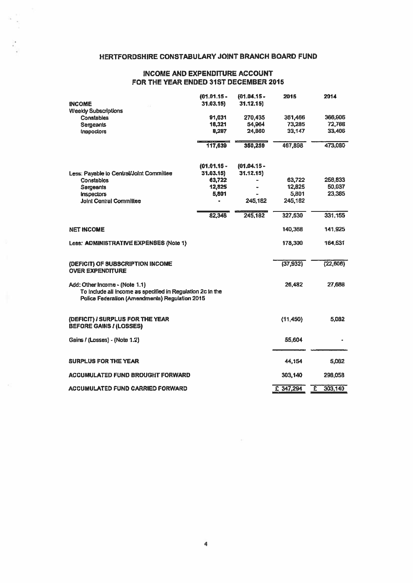### HERTFORDSHIRE CONSTABULARY JOINT BRANCH BOARD FUND

### INCOME AND EXPENDITURE ACCOUNT FOR THE YEAR ENDED 31ST DECEMBER 2015

|                                                                                                                                                | $(01.01.15 -$ | $(01.04.15 -$ | 2015      | 2014          |
|------------------------------------------------------------------------------------------------------------------------------------------------|---------------|---------------|-----------|---------------|
| <b>INCOME</b>                                                                                                                                  | 31.03.15}     | 31.12.15)     |           |               |
| <b>Weekly Subscriptions</b>                                                                                                                    |               |               |           |               |
| <b>Constables</b>                                                                                                                              | 91.031        | 270.435       | 361,466   | 366,906       |
| <b>Sergeants</b>                                                                                                                               | 18,321        | 54,964        | 73,285    | <b>72,768</b> |
| <b>Inspeciors</b>                                                                                                                              | 8,287         | 24.860        | 33.147    | 33,406        |
|                                                                                                                                                | 117,639       | 350,259       | 467,898   | 473,080       |
|                                                                                                                                                | $(01.01.15 -$ | $(01.04.15 -$ |           |               |
| Less: Payable to Central/Joint Committee                                                                                                       | 31.03.15      | 31.12.15)     |           |               |
| <b>Constables</b>                                                                                                                              | 63,722        |               | 63,722    | 256,833       |
| Sergeants                                                                                                                                      | 12,825        | ۰             | 12,825    | 50,937        |
| <b>Inspectors</b>                                                                                                                              | 5,801         |               | 5,801     | 23,385        |
| <b>Joint Central Committee</b>                                                                                                                 |               | 245,182       | 245,182   |               |
|                                                                                                                                                | 82,348        | 245,182       | 327,530   | 331,155       |
| <b>NET INCOME</b>                                                                                                                              |               |               | 140,368   | 141.925       |
| Less: ADMINISTRATIVE EXPENSES (Note 1)                                                                                                         |               |               | 178,300   | 164,531       |
| (DEFICIT) OF SUBSCRIPTION INCOME                                                                                                               |               |               | (37, 932) | (22, 606)     |
| <b>OVER EXPENDITURE</b>                                                                                                                        |               |               |           |               |
| Add: Other Income - (Note 1.1)<br>To Include all income as specified in Regulation 2c in the<br>Police Federalion (Amendments) Regulation 2015 |               |               | 26,482    | 27,688        |
| (DEFICIT) I SURPLUS FOR THE YEAR<br><b>BEFORE GAINS / (LOSSES)</b>                                                                             |               |               | (11, 450) | 5.082         |
| Gains / (Losses) - (Note 1.2)                                                                                                                  |               |               | 55,604    |               |
| SURPLUS FOR THE YEAR                                                                                                                           |               |               | 44,154    | 5,062         |
| ACCUMULATED FUND BROUGHT FORWARD                                                                                                               |               |               | 303,140   | 298,058       |
| ACCUMULATED FUND CARRIED FORWARD                                                                                                               |               |               | £ 347,294 | E<br>303,140  |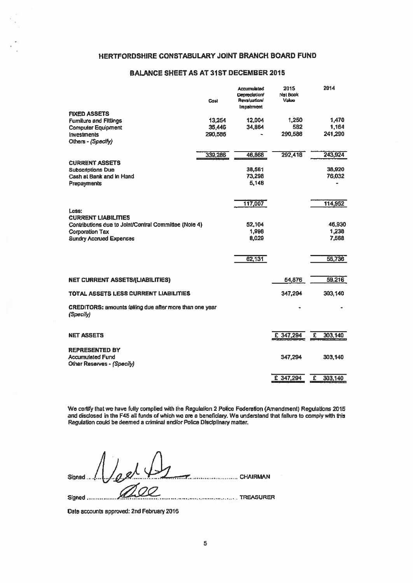### HERTFORDSHIRE CONSTABULARY JOINT BRANCH BOARD FUND

### BALANCE SHEET AS AT 3ISTDECEMBER 2015

|                                                                      | Cost    | <b>Accumulated</b><br><b>Depreciation/</b><br><b>Revaluation</b><br><i><b>Impairment</b></i> | 2015<br>Net Book<br>Value |   | 2014    |
|----------------------------------------------------------------------|---------|----------------------------------------------------------------------------------------------|---------------------------|---|---------|
| <b>FIXED ASSETS</b>                                                  |         |                                                                                              |                           |   |         |
| <b>Furniture and Fittings</b>                                        | 13,254  | 12,004                                                                                       | 1,250                     |   | 1,470   |
| <b>Computer Equipment</b>                                            | 35,446  | 34,864                                                                                       | 582                       |   | 1,164   |
| <b>Investments</b><br>Others - (Specify)                             | 290,586 |                                                                                              | 290,586                   |   | 241.290 |
|                                                                      | 339,286 | 46,868                                                                                       | 292,418                   |   | 243,924 |
| <b>CURRENT ASSETS</b>                                                |         |                                                                                              |                           |   |         |
| <b>Subscriptions Due</b>                                             |         | 38,561                                                                                       |                           |   | 38,920  |
| Cash at Bank and in Hand                                             |         | 73,298                                                                                       |                           |   | 76,032  |
| Prepayments                                                          |         | 5,148                                                                                        |                           |   |         |
|                                                                      |         |                                                                                              |                           |   |         |
|                                                                      |         | 117,007                                                                                      |                           |   | 114,952 |
| Less:<br><b>CURRENT LIABILITIES</b>                                  |         |                                                                                              |                           |   |         |
| Contributions due to Joint/Central Committee (Note 4)                |         | 52,104                                                                                       |                           |   | 46,930  |
| <b>Corporation Tax</b>                                               |         | 1,998                                                                                        |                           |   | 1,238   |
| <b>Sundry Accrued Expenses</b>                                       |         | 8,029                                                                                        |                           |   | 7,568   |
|                                                                      |         | 62,131                                                                                       |                           |   | 55,736  |
| NET CURRENT ASSETS/(LIABILITIES)                                     |         |                                                                                              | 54,876                    |   | 59,216  |
| TOTAL ASSETS LESS CURRENT LIABILITIES                                |         |                                                                                              | 347,294                   |   | 303,140 |
| CREDITORS: amounts falling due after more than one year<br>(Specify) |         |                                                                                              |                           |   |         |
| <b>NET ASSETS</b>                                                    |         |                                                                                              | £ 347,294                 | £ | 303,140 |
|                                                                      |         |                                                                                              |                           |   |         |
| <b>REPRESENTED BY</b>                                                |         |                                                                                              |                           |   |         |
| <b>Accumulated Fund</b>                                              |         |                                                                                              | 347,294                   |   | 303,140 |
| Other Reserves - (Specify)                                           |         |                                                                                              |                           |   |         |
|                                                                      |         |                                                                                              | £ 347,294                 | £ | 303,140 |

We certify that we have fully compiled with (he Regulation 2 Police Federation (Amendment) Regulations 2015 and disclosed in the F45 all funds of which we arc <sup>a</sup> beneficiary. We understand that failure to comply with this Regulation could be deemed <sup>a</sup> criminal andlor Police Disciplinary matter.

Signed  $\left[\ldots\right]$   $\left[\ldots\right]$   $\left[\ldots\right]$   $\left[\ldots\right]$   $\left[\ldots\right]$   $\left[\ldots\right]$  CHAIRMAN Signed TREASURER

Date accounts approved: 2nd February 2016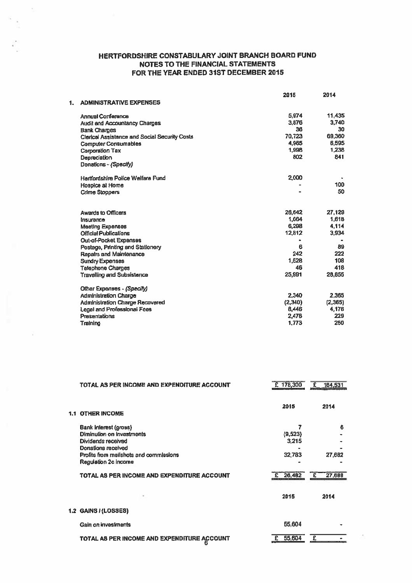### HERTFORDSHIRE CONSTABULARY JOINT BRANCH BOARD FUND NOTES TO THE FINANCIAL STATEMENTS FOR THE YEAR ENDED 31ST DECEMBER 2015

 $\bar{z}$ 

|    |                                                      | 2015    | 2014    |
|----|------------------------------------------------------|---------|---------|
| 1. | <b>ADMINISTRATIVE EXPENSES</b>                       |         |         |
|    | <b>Annual Conference</b>                             | 5.974   | 11,435  |
|    | <b>Audit and Accountancy Charges</b>                 | 3,876   | 3,740   |
|    | <b>Bank Chames</b>                                   | 36      | 30      |
|    | <b>Clerical Assistance and Social Security Costs</b> | 70,723  | 69,360  |
|    | <b>Computer Consumables</b>                          | 4,965   | 6,595   |
|    | <b>Corporation Tax</b>                               | 1,998   | 1,238   |
|    | Depreciation                                         | 802     | 841     |
|    | Donations - (Specify)                                |         |         |
|    | Hartfordshire Police Welfare Fund                    | 2,000   |         |
|    | Hospice at Home                                      |         | 100     |
|    | <b>Crime Stoppers</b>                                |         | 50      |
|    | <b>Awards to Officers</b>                            | 26,642  | 27,129  |
|    | Insurance                                            | 1.664   | 1,618   |
|    | <b>Meeting Expenses</b>                              | 6,298   | 4,114   |
|    | <b>Official Publications</b>                         | 12,812  | 3,934   |
|    | <b>Out-of-Pocket Expenses</b>                        |         |         |
|    | Postage, Printing and Stationery                     | 6       | 89      |
|    | Repairs and Maintenance                              | 242     | 222     |
|    | <b>Sundry Expenses</b>                               | 1.528   | 108     |
|    | <b>Telephone Charges</b>                             | 46      | 418     |
|    | <b>Travelling and Subsistence</b>                    | 25,991  | 28.855  |
|    | Other Expenses - (Specify)                           |         |         |
|    | <b>Administration Charge</b>                         | 2.340   | 2.365   |
|    | <b>Administration Charge Recovered</b>               | (2,340) | (2,365) |
|    | Legal and Professional Fees                          | 8,446   | 4,176   |
|    | Presentations                                        | 2,478   | 229     |
|    | Training                                             | 1,773   | 250     |
|    |                                                      |         |         |

|     | TOTAL AS PER INCOME AND EXPENDITURE ACCOUNT                                                                                                                                                                     | £ 178,300                                 | 164,531<br>£               |
|-----|-----------------------------------------------------------------------------------------------------------------------------------------------------------------------------------------------------------------|-------------------------------------------|----------------------------|
| 1.1 | <b>OTHER INCOME</b>                                                                                                                                                                                             | 2015                                      | 2014                       |
|     | Bank Interest (gross)<br>Diminution on investments<br>Dividends received<br>Donations received<br>Profits from mailshots and commissions<br>Regulation 2c income<br>TOTAL AS PER INCOME AND EXPENDITURE ACCOUNT | 7<br>(9,523)<br>3,215<br>32,783<br>26,482 | 6<br>27,682<br>27,688<br>£ |
|     |                                                                                                                                                                                                                 | 2015                                      | 2014                       |
|     | 1.2 GAINS / (LOSSES)                                                                                                                                                                                            |                                           |                            |
|     | Gain on investments                                                                                                                                                                                             | 55,604                                    |                            |
|     | TOTAL AS PER INCOME AND EXPENDITURE ACCOUNT<br>ĸ                                                                                                                                                                | 55,604                                    |                            |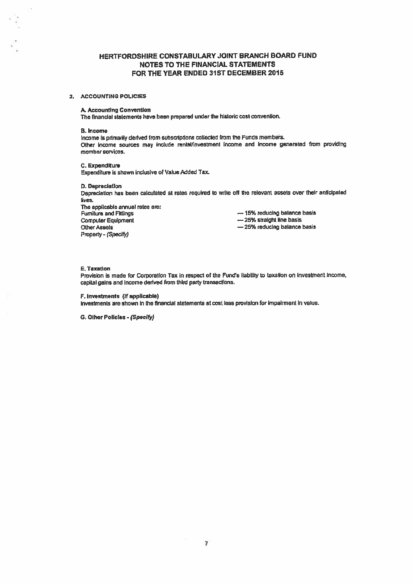### HERTFORDSHIRE CONSTABULARY JOINT BRANCH BOARD FUND **NOTES TO THE FINANCIAL STATEMENTS** FOR THE YEAR ENDED 31ST DECEMBER 2015

### 2. ACCOUNTING POLICIES

### A. Accounting Convention

The financial statements have been prepared under the historic cost convention.

#### **B. Income**

 $\sim$ 

Income is primarily derived from subscriptions collected from the Funds members. Other income sources may include rental/investment income and income generated from providing member services.

C. Expenditure Expenditure is shown inclusive of Value Added Tax.

**D. Depreciation** Depreciation has been calculated at rates required to write off the relevant assets over their anticipated lives.

The applicable annual rates are: **Fumilure and Fittings Computer Equipment Other Assets** Property - (Specify)

-15% reducing balance basis -25% straight line basis -25% reducing balance basis

### E. Taxation

Provision is made for Corporation Tax in respect of the Fund's liability to taxation on Investment Income, capital gains and income derived from third party transactions.

F. Investments (if applicable)

Investments are shown in the financial statements at cost less provision for impairment in value.

G. Other Policies - (Specify)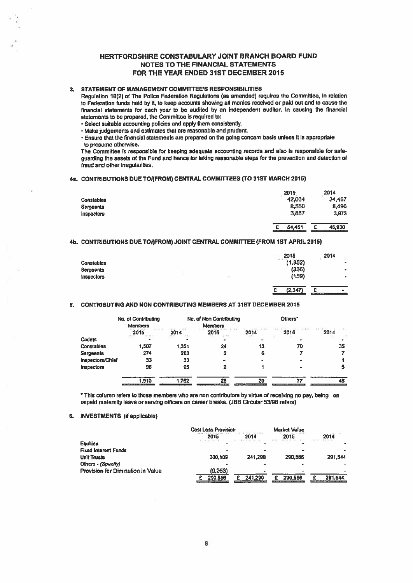### HERTFORDSHIRE CONSTABULARY JOINT BRANCH BOARD FUND NOTES TO ThE FINANCIAL STATEMENTS FOR ThE YEAR ENDED 31ST DECEMBER 2015

### 3. STATEMENT OF MANAGEMENT COMMITTEE'S RESPONSIBILITIES

Regulation 18(2) of The Police Federation Regulations (as amended) requires the Committee, in relation to Federation funds held by it, to keep accounts showing all monies received or paid out and to cause the financial statements br each year to be audited by an Independent auditor, In causing the financial statements to be proporod, the Committee is required to:

- 'Select suitable accounting policies and apply them consistently.
- Make judgements end estimates that are reasonableand prudent.

• Ensure that the Hnancial statements are prepared on the going concern basis unless It is appropriate to presume otherwise.

The Committee is responsible for keeping adequate accounting records and also is responsible for safe guarding the assets of the Fund and hence for taking reasonable steps for the prevention and detection of fraud and other irregularities.

### 4a. CONTRIBUTIONS DUE TO/(FROM) CENTRAL COMMITTEES (TO 31ST MARCH 2015)

|            | 2015        | 2014   |
|------------|-------------|--------|
| Constables | 42,034      | 34,467 |
| Sergeants  | 8,550       | 8,490  |
| Inspectors | 3,867       | 3,973  |
|            | 54,451<br>£ | 46,930 |

### 4b. CONTRIBUTIONS DUE TO/(FROM) JOINT CENTRAL COMMITTEE (FROM 1ST APRIL 2015)

|            |  | 2015<br>$-44$ , $4$ , $4$ & | 2014           |
|------------|--|-----------------------------|----------------|
| Constables |  | (1,852)                     | $\blacksquare$ |
| Sergeants  |  | (336)                       | $\bullet$      |
| Inspectors |  | (159)                       | $\bullet$      |
|            |  |                             |                |
|            |  | (2, 347)                    | $\bullet$      |

### 5. CONTRIBUTING AND NON CONTRIBUTING MEMBERS AT 31ST DECEMBER 2015

|                   | No. of Contributing<br><b>Members</b> |       | No. of Non Contributing<br><b>Members</b> |      | Others <sup>*</sup> |      |
|-------------------|---------------------------------------|-------|-------------------------------------------|------|---------------------|------|
|                   | 2015                                  | 2014  | 2015                                      | 2014 | 2015                | 2014 |
| Cadels            |                                       |       |                                           |      |                     |      |
| Constables        | 1,507                                 | 1,351 | 24                                        | 13   | 70                  | 35   |
| Sergeants         | 274                                   | 283   | 2                                         | 6    |                     |      |
| Inspectors/Chief  | 33                                    | 33    | $\blacksquare$                            |      |                     |      |
| <b>Inspectors</b> | 96                                    | 95    |                                           |      |                     |      |
|                   | 1,910                                 | 1,762 | 20                                        | 20   | 77                  | 48   |

\* This column refers to those members who are non contributors by virtue of receiving no pay, being on unpaid maternity leave or sewing officers on career breaks. (J88 Cirtular <sup>53198</sup> refers)

### 6. INVESTMENTS (if applicable)

|                                   | <b>Cost Less Provision</b> |         | Market Value |         |
|-----------------------------------|----------------------------|---------|--------------|---------|
|                                   | 2015                       | 2014    | 2015         | 2014    |
| Equilies                          |                            |         |              |         |
| Fixed Interest Funds              |                            |         |              |         |
| Unit Trusts                       | 300,109                    | 241.290 | 290,586      | 291.544 |
| Others - (Specify)                |                            |         |              |         |
| Provision for Diminution in Value | (9,253)                    |         | ۰            |         |
|                                   | 290,856                    | 241.290 | 290.566      | 291.544 |